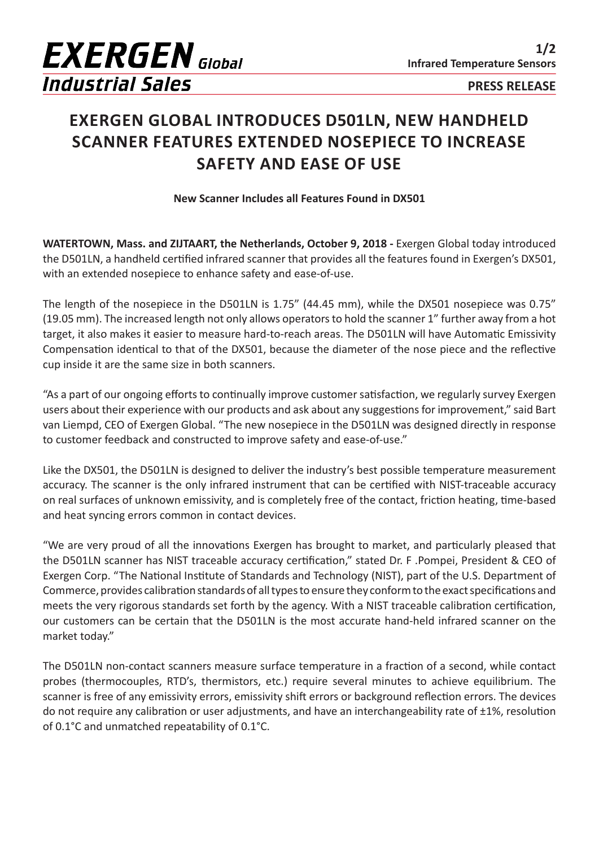

## **EXERGEN GLOBAL INTRODUCES D501LN, NEW HANDHELD SCANNER FEATURES EXTENDED NOSEPIECE TO INCREASE SAFETY AND EASE OF USE**

**New Scanner Includes all Features Found in DX501**

**WATERTOWN, Mass. and ZIJTAART, the Netherlands, October 9, 2018 -** Exergen Global today introduced the D501LN, a handheld certified infrared scanner that provides all the features found in Exergen's DX501, with an extended nosepiece to enhance safety and ease-of-use.

The length of the nosepiece in the D501LN is 1.75" (44.45 mm), while the DX501 nosepiece was 0.75" (19.05 mm). The increased length not only allows operators to hold the scanner 1" further away from a hot target, it also makes it easier to measure hard-to-reach areas. The D501LN will have Automatic Emissivity Compensation identical to that of the DX501, because the diameter of the nose piece and the reflective cup inside it are the same size in both scanners.

"As a part of our ongoing efforts to continually improve customer satisfaction, we regularly survey Exergen users about their experience with our products and ask about any suggestions for improvement," said Bart van Liempd, CEO of Exergen Global. "The new nosepiece in the D501LN was designed directly in response to customer feedback and constructed to improve safety and ease-of-use."

Like the DX501, the D501LN is designed to deliver the industry's best possible temperature measurement accuracy. The scanner is the only infrared instrument that can be certified with NIST-traceable accuracy on real surfaces of unknown emissivity, and is completely free of the contact, friction heating, time-based and heat syncing errors common in contact devices.

"We are very proud of all the innovations Exergen has brought to market, and particularly pleased that the D501LN scanner has NIST traceable accuracy certification," stated Dr. F .Pompei, President & CEO of Exergen Corp. "The National Institute of Standards and Technology (NIST), part of the U.S. Department of Commerce, provides calibration standards of all types to ensure they conform to the exact specifications and meets the very rigorous standards set forth by the agency. With a NIST traceable calibration certification, our customers can be certain that the D501LN is the most accurate hand-held infrared scanner on the market today."

The D501LN non-contact scanners measure surface temperature in a fraction of a second, while contact probes (thermocouples, RTD's, thermistors, etc.) require several minutes to achieve equilibrium. The scanner is free of any emissivity errors, emissivity shift errors or background reflection errors. The devices do not require any calibration or user adjustments, and have an interchangeability rate of ±1%, resolution of 0.1°C and unmatched repeatability of 0.1°C.